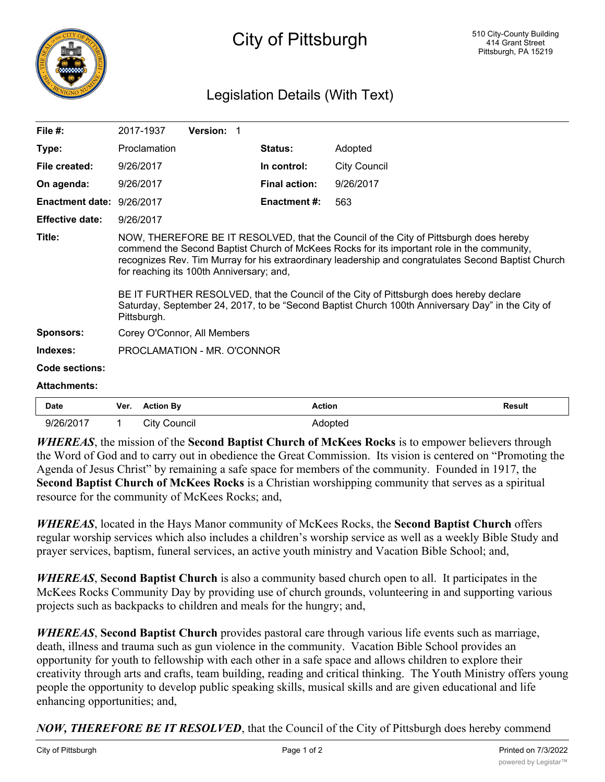

## City of Pittsburgh

## Legislation Details (With Text)

| File $#$ :                |                                                                                                                                                                                                                                                                                                                                                                                                                                                                                                                                                     | 2017-1937           | <b>Version: 1</b> |  |                      |                     |               |
|---------------------------|-----------------------------------------------------------------------------------------------------------------------------------------------------------------------------------------------------------------------------------------------------------------------------------------------------------------------------------------------------------------------------------------------------------------------------------------------------------------------------------------------------------------------------------------------------|---------------------|-------------------|--|----------------------|---------------------|---------------|
| Type:                     | Proclamation                                                                                                                                                                                                                                                                                                                                                                                                                                                                                                                                        |                     |                   |  | Status:              | Adopted             |               |
| File created:             | 9/26/2017                                                                                                                                                                                                                                                                                                                                                                                                                                                                                                                                           |                     |                   |  | In control:          | <b>City Council</b> |               |
| On agenda:                | 9/26/2017                                                                                                                                                                                                                                                                                                                                                                                                                                                                                                                                           |                     |                   |  | <b>Final action:</b> | 9/26/2017           |               |
| Enactment date: 9/26/2017 |                                                                                                                                                                                                                                                                                                                                                                                                                                                                                                                                                     |                     |                   |  | <b>Enactment #:</b>  | 563                 |               |
| <b>Effective date:</b>    | 9/26/2017                                                                                                                                                                                                                                                                                                                                                                                                                                                                                                                                           |                     |                   |  |                      |                     |               |
| Title:                    | NOW, THEREFORE BE IT RESOLVED, that the Council of the City of Pittsburgh does hereby<br>commend the Second Baptist Church of McKees Rocks for its important role in the community,<br>recognizes Rev. Tim Murray for his extraordinary leadership and congratulates Second Baptist Church<br>for reaching its 100th Anniversary; and,<br>BE IT FURTHER RESOLVED, that the Council of the City of Pittsburgh does hereby declare<br>Saturday, September 24, 2017, to be "Second Baptist Church 100th Anniversary Day" in the City of<br>Pittsburgh. |                     |                   |  |                      |                     |               |
| <b>Sponsors:</b>          | Corey O'Connor, All Members                                                                                                                                                                                                                                                                                                                                                                                                                                                                                                                         |                     |                   |  |                      |                     |               |
| Indexes:                  | PROCLAMATION - MR. O'CONNOR                                                                                                                                                                                                                                                                                                                                                                                                                                                                                                                         |                     |                   |  |                      |                     |               |
| Code sections:            |                                                                                                                                                                                                                                                                                                                                                                                                                                                                                                                                                     |                     |                   |  |                      |                     |               |
| <b>Attachments:</b>       |                                                                                                                                                                                                                                                                                                                                                                                                                                                                                                                                                     |                     |                   |  |                      |                     |               |
| <b>Date</b>               | Ver.                                                                                                                                                                                                                                                                                                                                                                                                                                                                                                                                                | <b>Action By</b>    |                   |  | <b>Action</b>        |                     | <b>Result</b> |
| 9/26/2017                 | 1                                                                                                                                                                                                                                                                                                                                                                                                                                                                                                                                                   | <b>City Council</b> |                   |  | Adopted              |                     |               |

*WHEREAS*, the mission of the **Second Baptist Church of McKees Rocks** is to empower believers through the Word of God and to carry out in obedience the Great Commission. Its vision is centered on "Promoting the Agenda of Jesus Christ" by remaining a safe space for members of the community. Founded in 1917, the **Second Baptist Church of McKees Rocks** is a Christian worshipping community that serves as a spiritual resource for the community of McKees Rocks; and,

*WHEREAS*, located in the Hays Manor community of McKees Rocks, the **Second Baptist Church** offers regular worship services which also includes a children's worship service as well as a weekly Bible Study and prayer services, baptism, funeral services, an active youth ministry and Vacation Bible School; and,

*WHEREAS*, **Second Baptist Church** is also a community based church open to all. It participates in the McKees Rocks Community Day by providing use of church grounds, volunteering in and supporting various projects such as backpacks to children and meals for the hungry; and,

*WHEREAS*, **Second Baptist Church** provides pastoral care through various life events such as marriage, death, illness and trauma such as gun violence in the community. Vacation Bible School provides an opportunity for youth to fellowship with each other in a safe space and allows children to explore their creativity through arts and crafts, team building, reading and critical thinking. The Youth Ministry offers young people the opportunity to develop public speaking skills, musical skills and are given educational and life enhancing opportunities; and,

*NOW, THEREFORE BE IT RESOLVED*, that the Council of the City of Pittsburgh does hereby commend